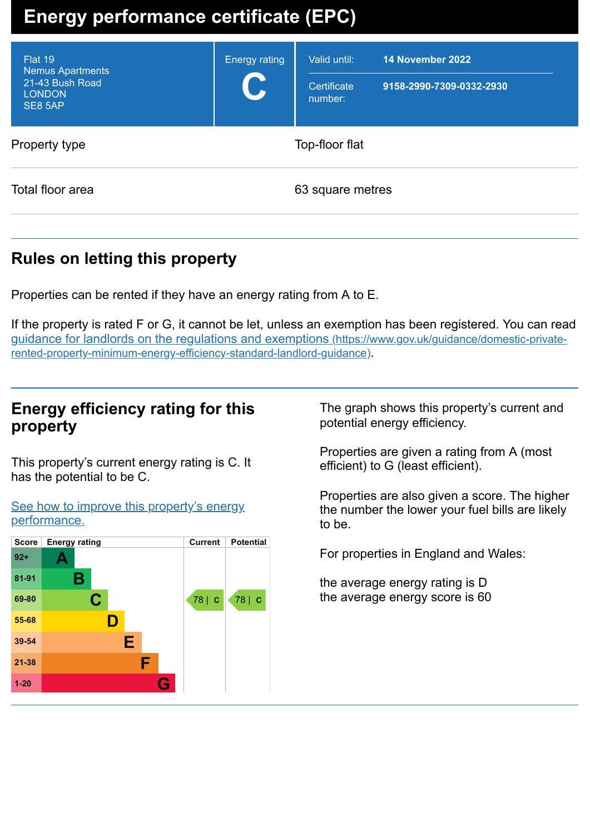# **Energy performance certificate (EPC)**

| Flat 19<br><b>Nemus Apartments</b><br>21-43 Bush Road<br><b>LONDON</b><br>SE8 5AP | <b>Energy rating</b><br>C | Valid until:<br>Certificate<br>number: | 14 November 2022<br>9158-2990-7309-0332-2930 |
|-----------------------------------------------------------------------------------|---------------------------|----------------------------------------|----------------------------------------------|
| Property type                                                                     | Top-floor flat            |                                        |                                              |
| Total floor area                                                                  |                           | 63 square metres                       |                                              |

# **Rules on letting this property**

Properties can be rented if they have an energy rating from A to E.

If the property is rated F or G, it cannot be let, unless an exemption has been registered. You can read guidance for landlords on the regulations and exemptions (https://www.gov.uk/guidance/domestic-private[rented-property-minimum-energy-efficiency-standard-landlord-guidance\)](https://www.gov.uk/guidance/domestic-private-rented-property-minimum-energy-efficiency-standard-landlord-guidance).

# **Energy efficiency rating for this property**

This property's current energy rating is C. It has the potential to be C.

See how to improve this property's energy [performance.](#page-2-0)



The graph shows this property's current and potential energy efficiency.

Properties are given a rating from A (most efficient) to G (least efficient).

Properties are also given a score. The higher the number the lower your fuel bills are likely to be.

For properties in England and Wales:

the average energy rating is D the average energy score is 60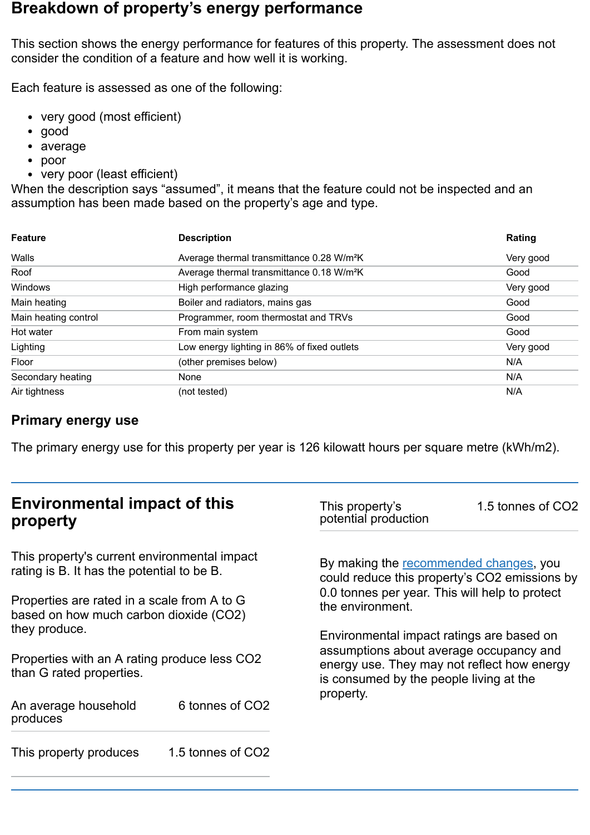## **Breakdown of property's energy performance**

This section shows the energy performance for features of this property. The assessment does not consider the condition of a feature and how well it is working.

Each feature is assessed as one of the following:

- very good (most efficient)
- good
- average
- poor
- very poor (least efficient)

When the description says "assumed", it means that the feature could not be inspected and an assumption has been made based on the property's age and type.

| <b>Feature</b>       | <b>Description</b>                                    | Rating    |
|----------------------|-------------------------------------------------------|-----------|
| Walls                | Average thermal transmittance 0.28 W/m <sup>2</sup> K | Very good |
| Roof                 | Average thermal transmittance 0.18 W/m <sup>2</sup> K | Good      |
| <b>Windows</b>       | High performance glazing                              | Very good |
| Main heating         | Boiler and radiators, mains gas                       | Good      |
| Main heating control | Programmer, room thermostat and TRVs                  | Good      |
| Hot water            | From main system                                      | Good      |
| Lighting             | Low energy lighting in 86% of fixed outlets           | Very good |
| Floor                | (other premises below)                                | N/A       |
| Secondary heating    | None                                                  | N/A       |
| Air tightness        | (not tested)                                          | N/A       |

#### **Primary energy use**

The primary energy use for this property per year is 126 kilowatt hours per square metre (kWh/m2).

## **Environmental impact of this property**

This property's current environmental impact rating is B. It has the potential to be B.

Properties are rated in a scale from A to G based on how much carbon dioxide (CO2) they produce.

Properties with an A rating produce less CO2 than G rated properties.

An average household produces 6 tonnes of CO2

This property produces 1.5 tonnes of CO2

This property's potential production 1.5 tonnes of CO2

By making the [recommended](#page-2-0) changes, you could reduce this property's CO2 emissions by 0.0 tonnes per year. This will help to protect the environment.

Environmental impact ratings are based on assumptions about average occupancy and energy use. They may not reflect how energy is consumed by the people living at the property.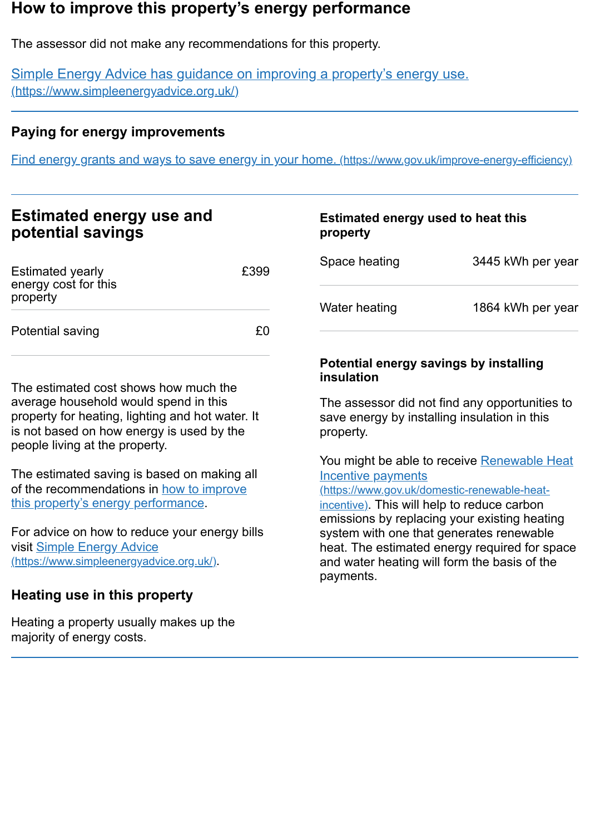## <span id="page-2-0"></span>**How to improve this property's energy performance**

The assessor did not make any recommendations for this property.

Simple Energy Advice has guidance on improving a property's energy use. [\(https://www.simpleenergyadvice.org.uk/\)](https://www.simpleenergyadvice.org.uk/)

#### **Paying for energy improvements**

Find energy grants and ways to save energy in your home. [\(https://www.gov.uk/improve-energy-efficiency\)](https://www.gov.uk/improve-energy-efficiency)

| <b>Estimated energy use and</b> |  |
|---------------------------------|--|
| potential savings               |  |

| <b>Estimated yearly</b><br>energy cost for this<br>property | £399 |
|-------------------------------------------------------------|------|
| Potential saving                                            | f(   |

The estimated cost shows how much the average household would spend in this property for heating, lighting and hot water. It is not based on how energy is used by the people living at the property.

The estimated saving is based on making all of the [recommendations](#page-2-0) in how to improve this property's energy performance.

For advice on how to reduce your energy bills visit Simple Energy Advice [\(https://www.simpleenergyadvice.org.uk/\)](https://www.simpleenergyadvice.org.uk/).

## **Heating use in this property**

Heating a property usually makes up the majority of energy costs.

# **Estimated energy used to heat this property**

| Space heating | 3445 kWh per year |
|---------------|-------------------|
| Water heating | 1864 kWh per year |

#### **Potential energy savings by installing insulation**

The assessor did not find any opportunities to save energy by installing insulation in this property.

You might be able to receive Renewable Heat Incentive payments

[\(https://www.gov.uk/domestic-renewable-heat](https://www.gov.uk/domestic-renewable-heat-incentive)incentive). This will help to reduce carbon emissions by replacing your existing heating system with one that generates renewable heat. The estimated energy required for space and water heating will form the basis of the payments.